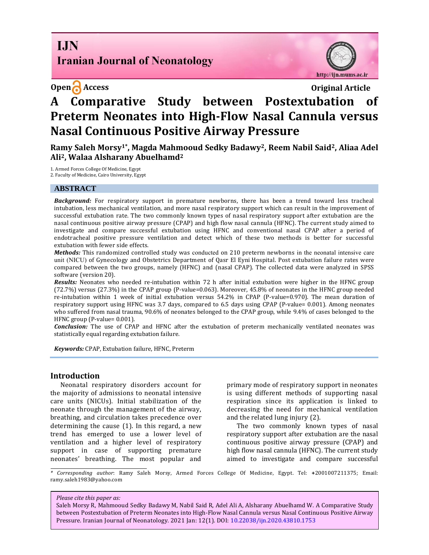## **I.IN Iranian Journal of Neonatology**

http://ijn.mums.ac.ir

**Open Access Original Article** 

# **A Comparative Study between Postextubation of Preterm Neonates into High-Flow Nasal Cannula versus Nasal Continuous Positive Airway Pressure**

**Ramy Saleh Morsy1\* , Magda Mahmooud Sedky Badawy2, Reem Nabil Said2, Aliaa Adel Ali2, Walaa Alsharany Abuelhamd<sup>2</sup>**

1. Armed Forces College Of Medicine, Egypt 2. Faculty of Medicine, Cairo University, Egypt

#### **ABSTRACT**

*Background:* For respiratory support in premature newborns, there has been a trend toward less tracheal intubation, less mechanical ventilation, and more nasal respiratory support which can result in the improvement of successful extubation rate. The two commonly known types of nasal respiratory support after extubation are the nasal continuous positive airway pressure (CPAP) and high flow nasal cannula (HFNC). The current study aimed to investigate and compare successful extubation using HFNC and conventional nasal CPAP after a period of endotracheal positive pressure ventilation and detect which of these two methods is better for successful extubation with fewer side effects.

*Methods:* This randomized controlled study was conducted on 210 preterm newborns in the neonatal intensive care unit (NICU) of Gynecology and Obstetrics Department of Qasr El Eyni Hospital. Post extubation failure rates were compared between the two groups, namely (HFNC) and (nasal CPAP). The collected data were analyzed in SPSS software (version 20).

*Results:* Neonates who needed re-intubation within 72 h after initial extubation were higher in the HFNC group (72.7%) versus (27.3%) in the CPAP group (P-value=0.063). Moreover, 45.8% of neonates in the HFNC group needed re-intubation within 1 week of initial extubation versus 54.2% in CPAP (P-value=0.970). The mean duration of respiratory support using HFNC was 3.7 days, compared to 6.5 days using CPAP (P-value= 0.001). Among neonates who suffered from nasal trauma, 90.6% of neonates belonged to the CPAP group, while 9.4% of cases belonged to the HFNC group (P-value= 0.001).

*Conclusion:* The use of CPAP and HFNC after the extubation of preterm mechanically ventilated neonates was statistically equal regarding extubation failure.

*Keywords:* CPAP, Extubation failure, HFNC, Preterm

#### **Introduction**

Neonatal respiratory disorders account for the majority of admissions to neonatal intensive care units (NICUs). Initial stabilization of the neonate through the management of the airway, breathing, and circulation takes precedence over determining the cause (1). In this regard, a new trend has emerged to use a lower level of ventilation and a higher level of respiratory support in case of supporting premature neonates' breathing. The most popular and

primary mode of respiratory support in neonates is using different methods of supporting nasal respiration since its application is linked to decreasing the need for mechanical ventilation and the related lung injury (2).

The two commonly known types of nasal respiratory support after extubation are the nasal continuous positive airway pressure (CPAP) and high flow nasal cannula (HFNC). The current study aimed to investigate and compare successful

*\* Corresponding author*: Ramy Saleh Morsy, Armed Forces College Of Medicine, Egypt. Tel: **+**2001007211375; Email: [ramy.saleh1983@yahoo.com](mailto:ramy.saleh1983@yahoo.com)

*Please cite this paper as:*

Saleh Morsy R, Mahmooud Sedky Badawy M, Nabil Said R, Adel Ali A, Alsharany Abuelhamd W. A Comparative Study between Postextubation of Preterm Neonates into High-Flow Nasal Cannula versus Nasal Continuous Positive Airway Pressure. Iranian Journal of Neonatology. 2021 Jan: 12(1). DOI: [10.22038/ijn.2020.43810.1753](https://ijn.mums.ac.ir/)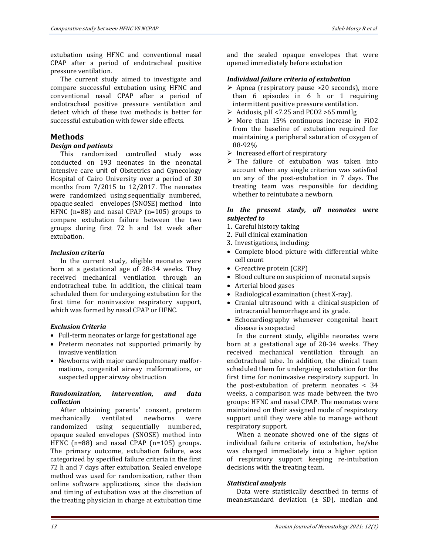extubation using HFNC and conventional nasal CPAP after a period of endotracheal positive pressure ventilation.

The current study aimed to investigate and compare successful extubation using HFNC and conventional nasal CPAP after a period of endotracheal positive pressure ventilation and detect which of these two methods is better for successful extubation with fewer side effects.

### **Methods**

#### *Design and patients*

This randomized controlled study was conducted on 193 neonates in the neonatal intensive care unit of Obstetrics and Gynecology Hospital of Cairo University over a period of 30 months from 7/2015 to 12/2017. The neonates were randomized using sequentially numbered, opaque sealed envelopes (SNOSE) method into HFNC (n=88) and nasal CPAP (n=105) groups to compare extubation failure between the two groups during first 72 h and 1st week after extubation.

#### *Inclusion criteria*

In the current study, eligible neonates were born at a gestational age of 28-34 weeks. They received mechanical ventilation through an endotracheal tube. In addition, the clinical team scheduled them for undergoing extubation for the first time for noninvasive respiratory support, which was formed by nasal CPAP or HFNC.

#### *Exclusion Criteria*

- Full-term neonates or large for gestational age
- Preterm neonates not supported primarily by invasive ventilation
- Newborns with major cardiopulmonary malformations, congenital airway malformations, or suspected upper airway obstruction

#### *Randomization, intervention, and data collection*

After obtaining parents' consent, preterm mechanically ventilated newborns were randomized using sequentially numbered, opaque sealed envelopes (SNOSE) method into HFNC (n=88) and nasal CPAP (n=105) groups. The primary outcome, extubation failure, was categorized by specified failure criteria in the first 72 h and 7 days after extubation. Sealed envelope method was used for randomization, rather than online software applications, since the decision and timing of extubation was at the discretion of the treating physician in charge at extubation time

and the sealed opaque envelopes that were opened immediately before extubation

#### *Individual failure criteria of extubation*

- $\triangleright$  Apnea (respiratory pause >20 seconds), more than 6 episodes in 6 h or 1 requiring intermittent positive pressure ventilation.
- $\triangleright$  Acidosis, pH <7.25 and PCO2 >65 mmHg
- $\triangleright$  More than 15% continuous increase in FiO2 from the baseline of extubation required for maintaining a peripheral saturation of oxygen of 88-92%
- $\triangleright$  Increased effort of respiratory
- $\triangleright$  The failure of extubation was taken into account when any single criterion was satisfied on any of the post-extubation in 7 days. The treating team was responsible for deciding whether to reintubate a newborn.

#### *In the present study, all neonates were subjected to*

- 1. Careful history taking
- 2. Full clinical examination
- 3. Investigations, including:
- Complete blood picture with differential white cell count
- C-reactive protein (CRP)
- Blood culture on suspicion of neonatal sepsis
- Arterial blood gases
- Radiological examination (chest X-ray).
- Cranial ultrasound with a clinical suspicion of intracranial hemorrhage and its grade.
- Echocardiography whenever congenital heart disease is suspected

In the current study, eligible neonates were born at a gestational age of 28-34 weeks. They received mechanical ventilation through an endotracheal tube. In addition, the clinical team scheduled them for undergoing extubation for the first time for noninvasive respiratory support. In the post-extubation of preterm neonates < 34 weeks, a comparison was made between the two groups: HFNC and nasal CPAP. The neonates were maintained on their assigned mode of respiratory support until they were able to manage without respiratory support.

When a neonate showed one of the signs of individual failure criteria of extubation, he/she was changed immediately into a higher option of respiratory support keeping re-intubation decisions with the treating team.

#### *Statistical analysis*

Data were statistically described in terms of mean±standard deviation (± SD), median and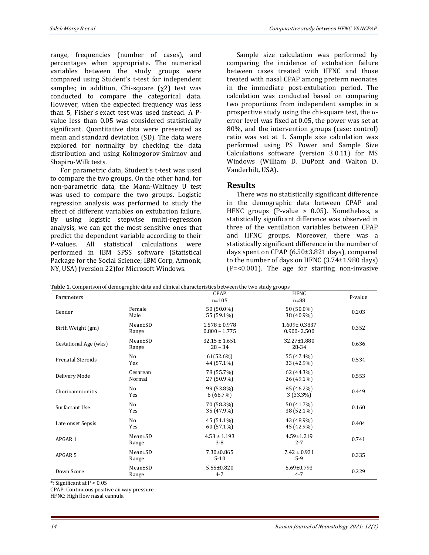range, frequencies (number of cases), and percentages when appropriate. The numerical variables between the study groups were compared using Student's t-test for independent samples; in addition, Chi-square  $(\gamma 2)$  test was conducted to compare the categorical data. However, when the expected frequency was less than 5, Fisher's exact test was used instead. A Pvalue less than 0.05 was considered statistically significant. Quantitative data were presented as mean and standard deviation (SD). The data were explored for normality by checking the data distribution and using Kolmogorov-Smirnov and Shapiro-Wilk tests.

For parametric data, Student's t-test was used to compare the two groups. On the other hand, for non-parametric data, the Mann-Whitney U test was used to compare the two groups. Logistic regression analysis was performed to study the effect of different variables on extubation failure. By using logistic stepwise multi-regression analysis, we can get the most sensitive ones that predict the dependent variable according to their P-values. All statistical calculations were performed in IBM SPSS software (Statistical Package for the Social Science; IBM Corp, Armonk, NY, USA) (version 22)for Microsoft Windows.

Sample size calculation was performed by comparing the incidence of extubation failure between cases treated with HFNC and those treated with nasal CPAP among preterm neonates in the immediate post-extubation period. The calculation was conducted based on comparing two proportions from independent samples in a prospective study using the chi-square test, the  $\alpha$ error level was fixed at 0.05, the power was set at 80%, and the intervention groups (case: control) ratio was set at 1. Sample size calculation was performed using PS Power and Sample Size Calculations software (version 3.0.11) for MS Windows (William D. DuPont and Walton D. Vanderbilt, USA).

## **Results**

There was no statistically significant difference in the demographic data between CPAP and HFNC groups (P-value > 0.05). Nonetheless, a statistically significant difference was observed in three of the ventilation variables between CPAP and HFNC groups. Moreover, there was a statistically significant difference in the number of days spent on CPAP (6.50±3.821 days), compared to the number of days on HFNC (3.74±1.980 days) (P=<0.001). The age for starting non-invasive

|  |  | <b>Table 1.</b> Comparison of demographic data and clinical characteristics between the two study groups |
|--|--|----------------------------------------------------------------------------------------------------------|

|                       |                        | <b>rable 1.</b> Comparison of demographic data and chincal characteristics between the two study groups<br>CPAP | <b>HFNC</b>                           | P-value |
|-----------------------|------------------------|-----------------------------------------------------------------------------------------------------------------|---------------------------------------|---------|
| Parameters            |                        | $n = 105$                                                                                                       | $n=88$                                |         |
| Gender                | Female<br>Male         | 50 (50.0%)<br>55 (59.1%)                                                                                        | 50 (50.0%)<br>38 (40.9%)              | 0.203   |
| Birth Weight (gm)     | $Mean \pm SD$<br>Range | $1.578 \pm 0.978$<br>$0.800 - 1.775$                                                                            | $1.609 \pm 0.3837$<br>$0.900 - 2.500$ | 0.352   |
| Gestational Age (wks) | Mean±SD<br>Range       | $32.15 \pm 1.651$<br>$28 - 34$                                                                                  | 32.27±1.880<br>28-34                  | 0.636   |
| Prenatal Steroids     | No<br>Yes              | 61(52.6%)<br>44 (57.1%)                                                                                         | 55 (47.4%)<br>33 (42.9%)              | 0.534   |
| Delivery Mode         | Cesarean<br>Normal     | 78 (55.7%)<br>27 (50.9%)                                                                                        | 62 (44.3%)<br>26 (49.1%)              | 0.553   |
| Chorioamnionitis      | No<br>Yes              | 99 (53.8%)<br>6(66.7%)                                                                                          | 85 (46.2%)<br>$3(33.3\%)$             | 0.449   |
| Surfactant Use        | No<br>Yes              | 70 (58.3%)<br>35 (47.9%)                                                                                        | 50 (41.7%)<br>38 (52.1%)              | 0.160   |
| Late onset Sepsis     | No<br>Yes              | 45 (51.1%)<br>60 (57.1%)                                                                                        | 43 (48.9%)<br>45 (42.9%)              | 0.404   |
| APGAR 1               | Mean±SD<br>Range       | $4.53 \pm 1.193$<br>$3 - 8$                                                                                     | $4.59 \pm 1.219$<br>$2 - 7$           | 0.741   |
| APGAR <sub>5</sub>    | Mean±SD<br>Range       | $7.30 \pm 0.865$<br>$5 - 10$                                                                                    | $7.42 \pm 0.931$<br>$5-9$             | 0.335   |
| Down Score            | Mean±SD<br>Range       | $5.55 \pm 0.820$<br>$4 - 7$                                                                                     | $5.69 \pm 0.793$<br>$4 - 7$           | 0.229   |

\*: Significant at  $P < 0.05$ 

CPAP: Continuous positive airway pressure

HFNC: High flow nasal cannula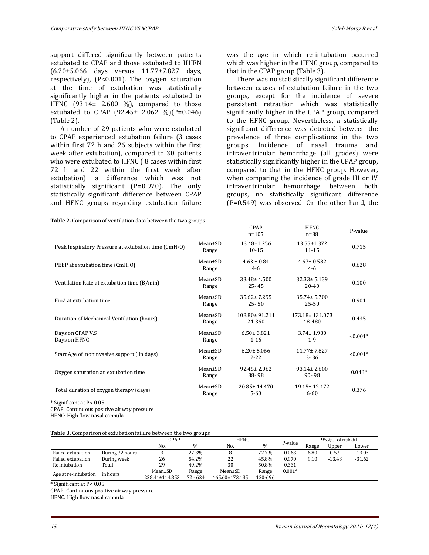support differed significantly between patients extubated to CPAP and those extubated to HHFN (6.20±5.066 days versus 11.77±7.827 days, respectively), (P<0.001). The oxygen saturation at the time of extubation was statistically significantly higher in the patients extubated to HFNC  $(93.14 \pm 2.600 \%)$ , compared to those extubated to CPAP  $(92.45 \pm 2.062 \%)$  (P=0.046) (Table 2).

A number of 29 patients who were extubated to CPAP experienced extubation failure (3 cases within first 72 h and 26 subjects within the first week after extubation), compared to 30 patients who were extubated to HFNC ( 8 cases within first 72 h and 22 within the first week after extubation), a difference which was not statistically significant (P=0.970). The only statistically significant difference between CPAP and HFNC groups regarding extubation failure

**Table 2.** Comparison of ventilation data between the two groups

was the age in which re-intubation occurred which was higher in the HFNC group, compared to that in the CPAP group (Table 3).

There was no statistically significant difference between causes of extubation failure in the two groups, except for the incidence of severe persistent retraction which was statistically significantly higher in the CPAP group, compared to the HFNC group. Nevertheless, a statistically significant difference was detected between the prevalence of three complications in the two groups. Incidence of nasal trauma and intraventricular hemorrhage (all grades) were statistically significantly higher in the CPAP group, compared to that in the HFNC group. However, when comparing the incidence of grade III or IV intraventricular hemorrhage between both groups, no statistically significant difference (P=0.549) was observed. On the other hand, the

|                                                                   |                        | CPAP                           | <b>HFNC</b>                    | P-value    |
|-------------------------------------------------------------------|------------------------|--------------------------------|--------------------------------|------------|
|                                                                   |                        | $n = 105$                      | $n=88$                         |            |
| Peak Inspiratory Pressure at extubation time (CmH <sub>2</sub> O) | $Mean \pm SD$<br>Range | $13.48 \pm 1.256$<br>$10 - 15$ | $13.55 \pm 1.372$<br>$11 - 15$ | 0.715      |
| PEEP at extubation time (CmH <sub>2</sub> O)                      | $Mean \pm SD$<br>Range | $4.63 \pm 0.84$<br>$4-6$       | $4.67 \pm 0.582$<br>$4-6$      | 0.628      |
| Ventilation Rate at extubation time (B/min)                       | $Mean \pm SD$<br>Range | $33.48 \pm 4.500$<br>$25 - 45$ | $32.33 \pm 5.139$<br>$20 - 40$ | 0.100      |
| Fio <sub>2</sub> at extubation time                               | $Mean \pm SD$<br>Range | $35.62 \pm 7.295$<br>$25 - 50$ | $35.74 \pm 5.700$<br>$25 - 50$ | 0.901      |
| Duration of Mechanical Ventilation (hours)                        | $Mean \pm SD$<br>Range | 108.80±91.211<br>24-360        | 173.18±131.073<br>48-480       | 0.435      |
| Days on CPAP V.S<br>Days on HFNC                                  | Mean±SD<br>Range       | $6.50 \pm 3.821$<br>$1 - 16$   | $3.74 \pm 1.980$<br>$1 - 9$    | $< 0.001*$ |
| Start Age of noninvasive support (in days)                        | $Mean \pm SD$<br>Range | $6.20 \pm 5.066$<br>$2 - 22$   | 11.77 ± 7.827<br>$3 - 36$      | $< 0.001*$ |
| Oxygen saturation at extubation time                              | $Mean \pm SD$<br>Range | $92.45 \pm 2.062$<br>88-98     | $93.14 \pm 2.600$<br>$90 - 98$ | $0.046*$   |
| Total duration of oxygen therapy (days)                           | $Mean \pm SD$<br>Range | $20.85 \pm 14.470$<br>$5 - 60$ | $19.15 \pm 12.172$<br>$6 - 60$ | 0.376      |

\* Significant at P< 0.05

CPAP: Continuous positive airway pressure

HFNC: High flow nasal cannula

| Table 3. Comparison of extubation failure between the two groups |  |  |  |
|------------------------------------------------------------------|--|--|--|
|                                                                  |  |  |  |

|                      |                 | CPAP           |               | <b>HFNC</b>    |         |          | 95%CI of risk dif. |          |          |  |
|----------------------|-----------------|----------------|---------------|----------------|---------|----------|--------------------|----------|----------|--|
|                      |                 | No.            | $\frac{0}{0}$ | No.            | $\%$    | P-value  | Range              | Upper    | Lower    |  |
| Failed extubation    | During 72 hours |                | 27.3%         |                | 72.7%   | 0.063    | 6.80               | 0.57     | $-13.03$ |  |
| Failed extubation    | During week     | 26             | 54.2%         | 22             | 45.8%   | 0.970    | 9.10               | $-13.43$ | $-31.62$ |  |
| Re intubation        | Total           | 29             | 49.2%         | 30             | 50.8%   | 0.331    |                    |          |          |  |
|                      |                 | Mean±SD        | Range         | Mean±SD        | Range   | $0.001*$ |                    |          |          |  |
| Age at re-intubation | in hours        | 228.41±114.853 | $72 - 624$    | 465.60±173.135 | 120-696 |          |                    |          |          |  |

\* Significant at P< 0.05

CPAP: Continuous positive airway pressure

HFNC: High flow nasal cannula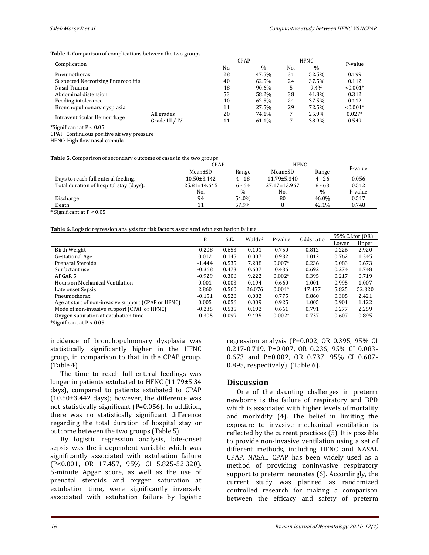#### **Table 4.** Comparison of complications between the two groups

| Complication                               |                | <b>CPAP</b> |       | <b>HFNC</b> |       | P-value    |  |
|--------------------------------------------|----------------|-------------|-------|-------------|-------|------------|--|
|                                            |                | No.         | $\%$  | No.         | $\%$  |            |  |
| Pneumothorax                               |                | 28          | 47.5% | 31          | 52.5% | 0.199      |  |
| <b>Suspected Necrotizing Enterocolitis</b> |                | 40          | 62.5% | 24          | 37.5% | 0.112      |  |
| Nasal Trauma                               |                | 48          | 90.6% |             | 9.4%  | $< 0.001*$ |  |
| Abdominal distension                       |                | 53          | 58.2% | 38          | 41.8% | 0.312      |  |
| Feeding intolerance                        |                | 40          | 62.5% | 24          | 37.5% | 0.112      |  |
| Bronchopulmonary dysplasia                 |                | 11          | 27.5% | 29          | 72.5% | $< 0.001*$ |  |
|                                            | All grades     | 20          | 74.1% |             | 25.9% | $0.027*$   |  |
| Intraventricular Hemorrhage                | Grade III / IV | 11          | 61.1% |             | 38.9% | 0.549      |  |

\*Significant at  $P < 0.05$ 

CPAP: Continuous positive airway pressure

HFNC: High flow nasal cannula

**Table 5.** Comparison of secondary outcome of cases in the two groups

|                                         | CPAP               |          |                   | <b>HFNC</b>   | P-value |
|-----------------------------------------|--------------------|----------|-------------------|---------------|---------|
|                                         | Mean±SD            | Range    | Mean±SD           | Range         |         |
| Days to reach full enteral feeding.     | $10.50 \pm 3.442$  | $4 - 18$ | $11.79 \pm 5.340$ | $4 - 26$      | 0.056   |
| Total duration of hospital stay (days). | $25.81 \pm 14.645$ | $6 - 64$ | 27.17±13.967      | $8 - 63$      | 0.512   |
|                                         | No.                | $\%$     | No.               | $\frac{0}{0}$ | P-value |
| Discharge                               | 94                 | 54.0%    | 80                | 46.0%         | 0.517   |
| Death                                   | 11                 | 57.9%    |                   | 42.1%         | 0.748   |

\* Significant at P < 0.05

**Table 6.** Logistic regression analysis for risk factors associated with extubation failure

|                                                     |          | B<br>S.E. | Waldy <sup>2</sup> | P-value  | Odds ratio | 95% C.I.for (OR) |        |
|-----------------------------------------------------|----------|-----------|--------------------|----------|------------|------------------|--------|
|                                                     |          |           |                    |          |            | Lower            | Upper  |
| Birth Weight                                        | $-0.208$ | 0.653     | 0.101              | 0.750    | 0.812      | 0.226            | 2.920  |
| <b>Gestational Age</b>                              | 0.012    | 0.145     | 0.007              | 0.932    | 1.012      | 0.762            | 1.345  |
| Prenatal Steroids                                   | $-1.444$ | 0.535     | 7.288              | $0.007*$ | 0.236      | 0.083            | 0.673  |
| Surfactant use                                      | $-0.368$ | 0.473     | 0.607              | 0.436    | 0.692      | 0.274            | 1.748  |
| APGAR <sub>5</sub>                                  | $-0.929$ | 0.306     | 9.222              | $0.002*$ | 0.395      | 0.217            | 0.719  |
| Hours on Mechanical Ventilation                     | 0.001    | 0.003     | 0.194              | 0.660    | 1.001      | 0.995            | 1.007  |
| Late onset Sepsis                                   | 2.860    | 0.560     | 26.076             | $0.001*$ | 17.457     | 5.825            | 52.320 |
| Pneumothorax                                        | $-0.151$ | 0.528     | 0.082              | 0.775    | 0.860      | 0.305            | 2.421  |
| Age at start of non-invasive support (CPAP or HFNC) | 0.005    | 0.056     | 0.009              | 0.925    | 1.005      | 0.901            | 1.122  |
| Mode of non-invasive support (CPAP or HFNC)         | $-0.235$ | 0.535     | 0.192              | 0.661    | 0.791      | 0.277            | 2.259  |
| Oxygen saturation at extubation time                | $-0.305$ | 0.099     | 9.495              | $0.002*$ | 0.737      | 0.607            | 0.895  |

\*Significant at  $P < 0.05$ 

incidence of bronchopulmonary dysplasia was statistically significantly higher in the HFNC group, in comparison to that in the CPAP group. (Table 4)

The time to reach full enteral feedings was longer in patients extubated to HFNC (11.79±5.34 days), compared to patients extubated to CPAP (10.50±3.442 days); however, the difference was not statistically significant (P=0.056). In addition, there was no statistically significant difference regarding the total duration of hospital stay or outcome between the two groups (Table 5).

By logistic regression analysis, late-onset sepsis was the independent variable which was significantly associated with extubation failure (P<0.001, OR 17.457, 95% CI 5.825-52.320). 5-minute Apgar score, as well as the use of prenatal steroids and oxygen saturation at extubation time, were significantly inversely associated with extubation failure by logistic

regression analysis (P=0.002, OR 0.395, 95% CI 0.217-0.719, P=0.007, OR 0.236, 95% CI 0.083- 0.673 and P=0.002, OR 0.737, 95% CI 0.607- 0.895, respectively) (Table 6).

#### **Discussion**

One of the daunting challenges in preterm newborns is the failure of respiratory and BPD which is associated with higher levels of mortality and morbidity (4). The belief in limiting the exposure to invasive mechanical ventilation is reflected by the current practices (5). It is possible to provide non-invasive ventilation using a set of different methods, including HFNC and NASAL CPAP. NASAL CPAP has been widely used as a method of providing noninvasive respiratory support to preterm neonates (6). Accordingly, the current study was planned as randomized controlled research for making a comparison between the efficacy and safety of preterm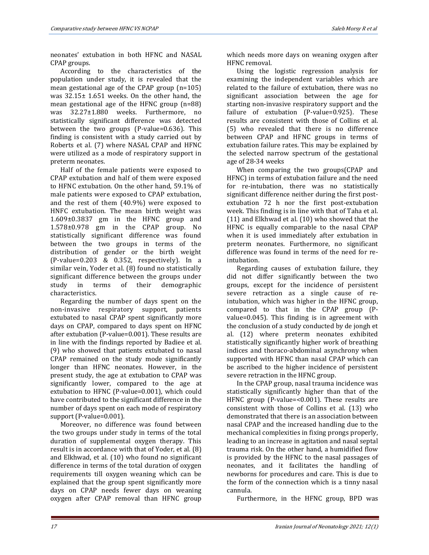neonates' extubation in both HFNC and NASAL CPAP groups.

According to the characteristics of the population under study, it is revealed that the mean gestational age of the CPAP group (n=105) was 32.15± 1.651 weeks. On the other hand, the mean gestational age of the HFNC group (n=88) was 32.27±1.880 weeks. Furthermore, no statistically significant difference was detected between the two groups (P-value=0.636). This finding is consistent with a study carried out by Roberts et al. (7) where NASAL CPAP and HFNC were utilized as a mode of respiratory support in preterm neonates.

Half of the female patients were exposed to CPAP extubation and half of them were exposed to HFNC extubation. On the other hand, 59.1% of male patients were exposed to CPAP extubation, and the rest of them (40.9%) were exposed to HNFC extubation. The mean birth weight was 1.609±0.3837 gm in the HFNC group and 1.578±0.978 gm in the CPAP group. No statistically significant difference was found between the two groups in terms of the distribution of gender or the birth weight (P-value=0.203 & 0.352, respectively). In a similar vein, Yoder et al. (8) found no statistically significant difference between the groups under study in terms of their demographic characteristics.

Regarding the number of days spent on the non-invasive respiratory support, patients extubated to nasal CPAP spent significantly more days on CPAP, compared to days spent on HFNC after extubation (P-value=0.001). These results are in line with the findings reported by Badiee et al. (9) who showed that patients extubated to nasal CPAP remained on the study mode significantly longer than HFNC neonates. However, in the present study, the age at extubation to CPAP was significantly lower, compared to the age at extubation to HFNC (P-value=0.001), which could have contributed to the significant difference in the number of days spent on each mode of respiratory support (P-value=0.001).

Moreover, no difference was found between the two groups under study in terms of the total duration of supplemental oxygen therapy. This result is in accordance with that of Yoder, et al. (8) and Elkhwad, et al. (10) who found no significant difference in terms of the total duration of oxygen requirements till oxygen weaning which can be explained that the group spent significantly more days on CPAP needs fewer days on weaning oxygen after CPAP removal than HFNC group which needs more days on weaning oxygen after HFNC removal.

Using the logistic regression analysis for examining the independent variables which are related to the failure of extubation, there was no significant association between the age for starting non-invasive respiratory support and the failure of extubation (P-value=0.925). These results are consistent with those of Collins et al. (5) who revealed that there is no difference between CPAP and HFNC groups in terms of extubation failure rates. This may be explained by the selected narrow spectrum of the gestational age of 28-34 weeks

When comparing the two groups(CPAP and HFNC) in terms of extubation failure and the need for re-intubation, there was no statistically significant difference neither during the first postextubation 72 h nor the first post-extubation week. This finding is in line with that of Taha et al. (11) and Elkhwad et al. (10) who showed that the HFNC is equally comparable to the nasal CPAP when it is used immediately after extubation in preterm neonates. Furthermore, no significant difference was found in terms of the need for reintubation.

Regarding causes of extubation failure, they did not differ significantly between the two groups, except for the incidence of persistent severe retraction as a single cause of reintubation, which was higher in the HFNC group, compared to that in the CPAP group (Pvalue=0.045). This finding is in agreement with the conclusion of a study conducted by de jongh et al. (12) where preterm neonates exhibited statistically significantly higher work of breathing indices and thoraco-abdominal asynchrony when supported with HFNC than nasal CPAP which can be ascribed to the higher incidence of persistent severe retraction in the HFNC group.

In the CPAP group, nasal trauma incidence was statistically significantly higher than that of the HFNC group (P-value=<0.001). These results are consistent with those of Collins et al. (13) who demonstrated that there is an association between nasal CPAP and the increased handling due to the mechanical complexities in fixing prongs properly, leading to an increase in agitation and nasal septal trauma risk. On the other hand, a humidified flow is provided by the HFNC to the nasal passages of neonates, and it facilitates the handling of newborns for procedures and care. This is due to the form of the connection which is a tinny nasal cannula.

Furthermore, in the HFNC group, BPD was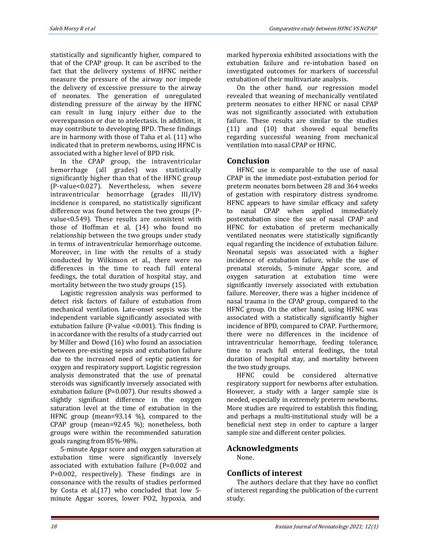statistically and significantly higher, compared to that of the CPAP group. It can be ascribed to the fact that the delivery systems of HFNC neither measure the pressure of the airway nor impede the delivery of excessive pressure to the airway of neonates. The generation of unregulated distending pressure of the airway by the HFNC can result in lung injury either due to the overexpansion or due to atelectasis. In addition, it may contribute to developing BPD. These findings are in harmony with those of Taha et al. (11) who indicated that in preterm newborns, using HFNC is associated with a higher level of BPD risk.

In the CPAP group, the intraventricular hemorrhage (all grades) was statistically significantly higher than that of the HFNC group (P-value<0.027). Nevertheless, when severe intraventricular hemorrhage (grades III/IV) incidence is compared, no statistically significant difference was found between the two groups (Pvalue<0.549). These results are consistent with those of Hoffman et al, (14) who found no relationship between the two groups under study in terms of intraventricular hemorrhage outcome. Moreover, in line with the results of a study conducted by Wilkinson et al., there were no differences in the time to reach full enteral feedings, the total duration of hospital stay, and mortality between the two study groups (15).

Logistic regression analysis was performed to detect risk factors of failure of extubation from mechanical ventilation. Late-onset sepsis was the independent variable significantly associated with extubation failure (P-value <0.001). This finding is in accordance with the results of a study carried out by Miller and Dowd (16) who found an association between pre-existing sepsis and extubation failure due to the increased need of septic patients for oxygen and respiratory support. Logistic regression analysis demonstrated that the use of prenatal steroids was significantly inversely associated with extubation failure (P=0.007). Our results showed a slightly significant difference in the oxygen saturation level at the time of extubation in the HFNC group (mean=93.14 %), compared to the CPAP group (mean=92.45 %); nonetheless, both groups were within the recommended saturation goals ranging from 85%-98%.

5-minute Apgar score and oxygen saturation at extubation time were significantly inversely associated with extubation failure (P=0.002 and P=0.002, respectively). These findings are in consonance with the results of studies performed by Costa et al.(17) who concluded that low 5 minute Apgar scores, lower PO2, hypoxia, and

marked hyperoxia exhibited associations with the extubation failure and re-intubation based on investigated outcomes for markers of successful extubation of their multivariate analysis.

On the other hand, our regression model revealed that weaning of mechanically ventilated preterm neonates to either HFNC or nasal CPAP was not significantly associated with extubation failure. These results are similar to the studies (11) and (10) that showed equal benefits regarding successful weaning from mechanical ventilation into nasal CPAP or HFNC.

## **Conclusion**

HFNC use is comparable to the use of nasal CPAP in the immediate post-extubation period for preterm neonates born between 28 and 364 weeks of gestation with respiratory distress syndrome. HFNC appears to have similar efficacy and safety to nasal CPAP when applied immediately postextubation since the use of nasal CPAP and HFNC for extubation of preterm mechanically ventilated neonates were statistically significantly equal regarding the incidence of extubation failure. Neonatal sepsis was associated with a higher incidence of extubation failure, while the use of prenatal steroids, 5-minute Apgar score, and oxygen saturation at extubation time were significantly inversely associated with extubation failure. Moreover, there was a higher incidence of nasal trauma in the CPAP group, compared to the HFNC group. On the other hand, using HFNC was associated with a statistically significantly higher incidence of BPD, compared to CPAP. Furthermore, there were no differences in the incidence of intraventricular hemorrhage, feeding tolerance, time to reach full enteral feedings, the total duration of hospital stay, and mortality between the two study groups.

HFNC could be considered alternative respiratory support for newborns after extubation. However, a study with a larger sample size is needed, especially in extremely preterm newborns. More studies are required to establish this finding, and perhaps a multi-institutional study will be a beneficial next step in order to capture a larger sample size and different center policies.

## **Acknowledgments**

None.

## **Conflicts of interest**

The authors declare that they have no conflict of interest regarding the publication of the current study.